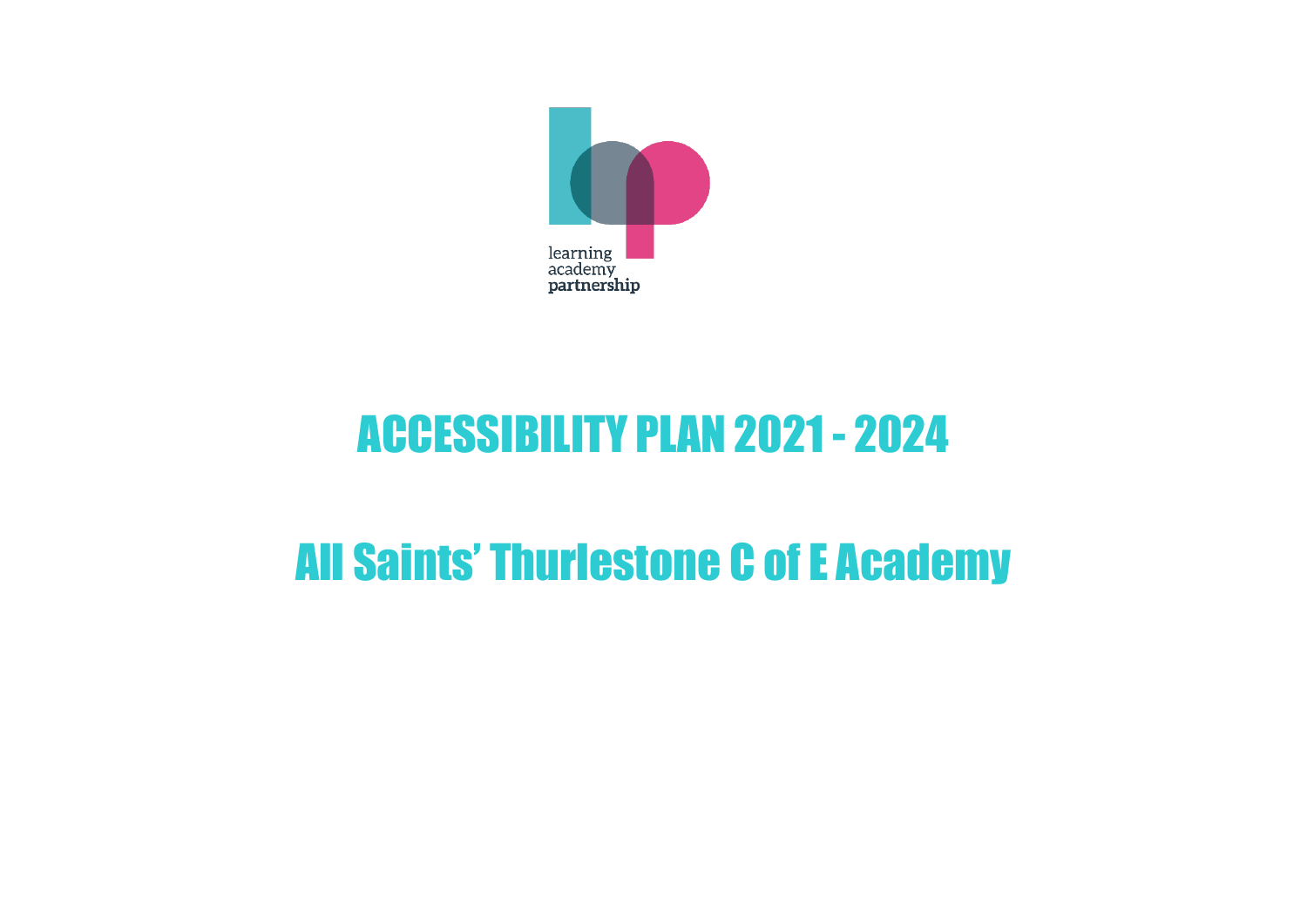

# ACCESSIBILITY PLAN 2021- 2024

## All Saints' Thurlestone C of E Academy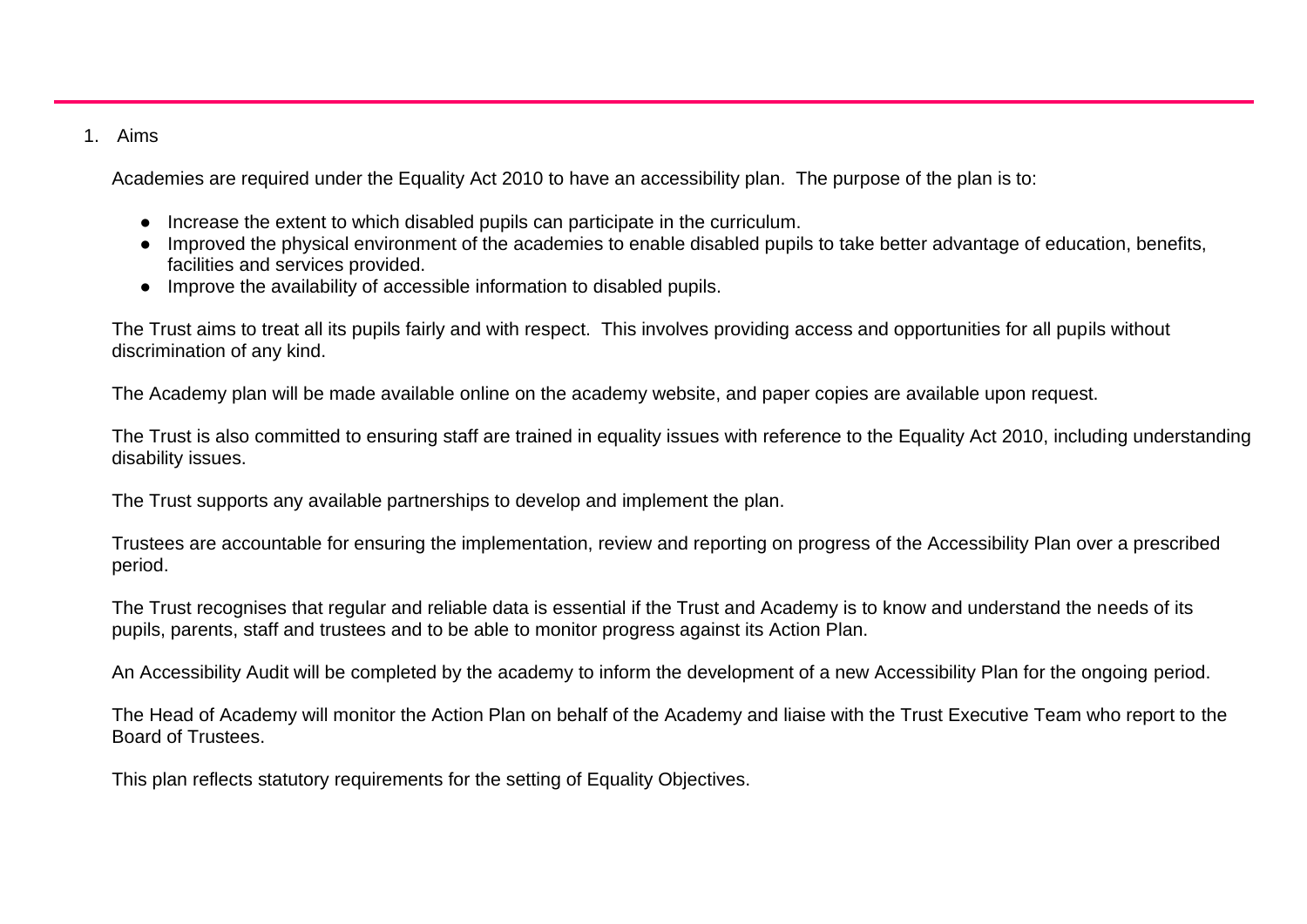#### 1. Aims

Academies are required under the Equality Act 2010 to have an accessibility plan. The purpose of the plan is to:

- Increase the extent to which disabled pupils can participate in the curriculum.
- Improved the physical environment of the academies to enable disabled pupils to take better advantage of education, benefits, facilities and services provided.
- Improve the availability of accessible information to disabled pupils.

The Trust aims to treat all its pupils fairly and with respect. This involves providing access and opportunities for all pupils without discrimination of any kind.

The Academy plan will be made available online on the academy website, and paper copies are available upon request.

The Trust is also committed to ensuring staff are trained in equality issues with reference to the Equality Act 2010, including understanding disability issues.

The Trust supports any available partnerships to develop and implement the plan.

Trustees are accountable for ensuring the implementation, review and reporting on progress of the Accessibility Plan over a prescribed period.

The Trust recognises that regular and reliable data is essential if the Trust and Academy is to know and understand the needs of its pupils, parents, staff and trustees and to be able to monitor progress against its Action Plan.

An Accessibility Audit will be completed by the academy to inform the development of a new Accessibility Plan for the ongoing period.

The Head of Academy will monitor the Action Plan on behalf of the Academy and liaise with the Trust Executive Team who report to the Board of Trustees.

This plan reflects statutory requirements for the setting of Equality Objectives.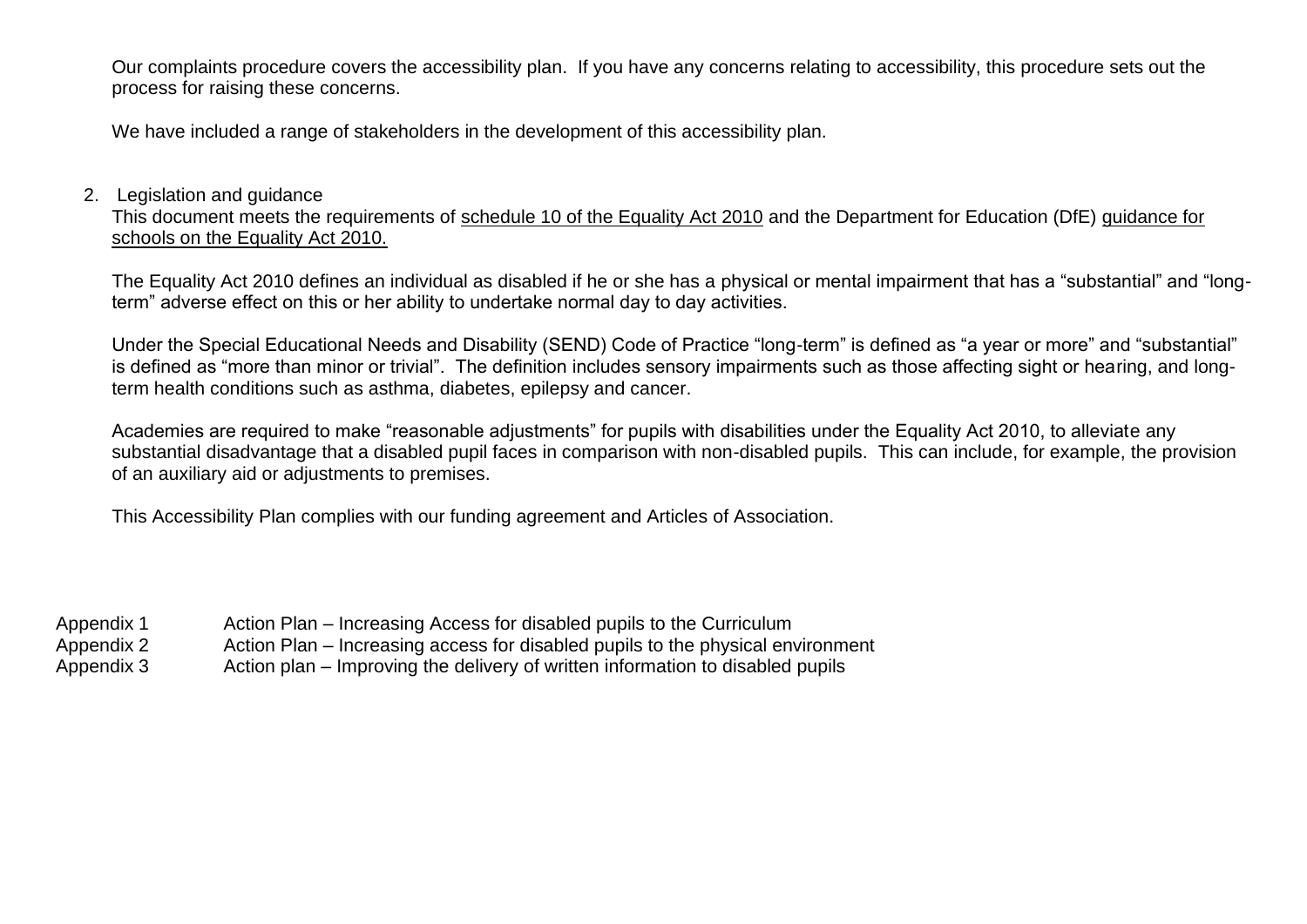Our complaints procedure covers the accessibility plan. If you have any concerns relating to accessibility, this procedure sets out the process for raising these concerns.

We have included a range of stakeholders in the development of this accessibility plan.

#### 2. Legislation and guidance

This document meets the requirements of schedule 10 of the Equality Act 2010 and the Department for Education (DfE) guidance for schools on the Equality Act 2010.

The Equality Act 2010 defines an individual as disabled if he or she has a physical or mental impairment that has a "substantial" and "longterm" adverse effect on this or her ability to undertake normal day to day activities.

Under the Special Educational Needs and Disability (SEND) Code of Practice "long-term" is defined as "a year or more" and "substantial" is defined as "more than minor or trivial". The definition includes sensory impairments such as those affecting sight or hearing, and longterm health conditions such as asthma, diabetes, epilepsy and cancer.

Academies are required to make "reasonable adjustments" for pupils with disabilities under the Equality Act 2010, to alleviate any substantial disadvantage that a disabled pupil faces in comparison with non-disabled pupils. This can include, for example, the provision of an auxiliary aid or adjustments to premises.

This Accessibility Plan complies with our funding agreement and Articles of Association.

| Appendix 1 | Action Plan – Increasing Access for disabled pupils to the Curriculum           |
|------------|---------------------------------------------------------------------------------|
| Appendix 2 | Action Plan – Increasing access for disabled pupils to the physical environment |
| Appendix 3 | Action plan – Improving the delivery of written information to disabled pupils  |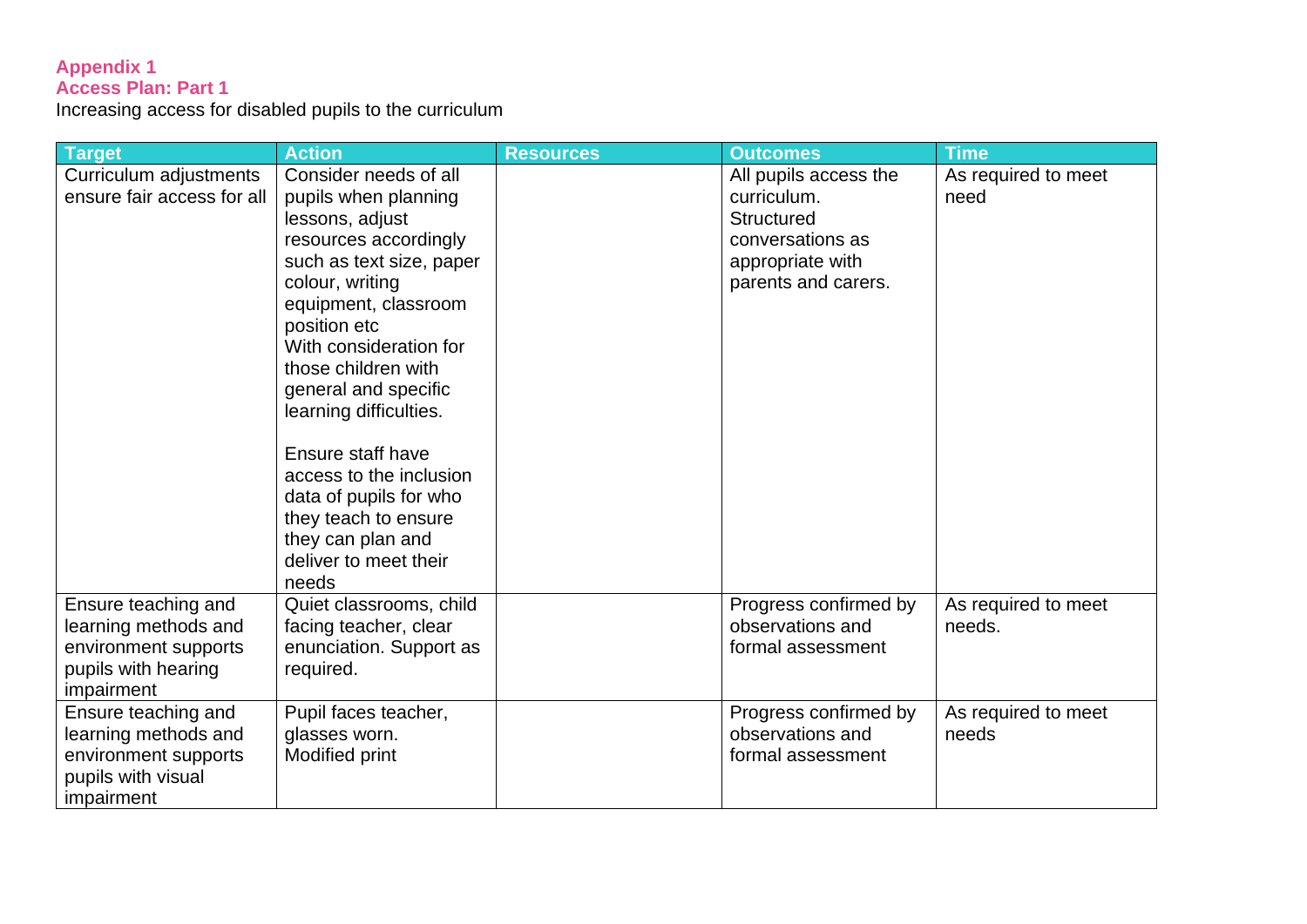#### **Appendix 1 Access Plan: Part 1**

Increasing access for disabled pupils to the curriculum

| Target                     | <b>Action</b>            | <b>Resources</b> | <b>Outcomes</b>       | <b>Time</b>         |
|----------------------------|--------------------------|------------------|-----------------------|---------------------|
| Curriculum adjustments     | Consider needs of all    |                  | All pupils access the | As required to meet |
| ensure fair access for all | pupils when planning     |                  | curriculum.           | need                |
|                            | lessons, adjust          |                  | Structured            |                     |
|                            | resources accordingly    |                  | conversations as      |                     |
|                            | such as text size, paper |                  | appropriate with      |                     |
|                            | colour, writing          |                  | parents and carers.   |                     |
|                            | equipment, classroom     |                  |                       |                     |
|                            | position etc             |                  |                       |                     |
|                            | With consideration for   |                  |                       |                     |
|                            | those children with      |                  |                       |                     |
|                            | general and specific     |                  |                       |                     |
|                            | learning difficulties.   |                  |                       |                     |
|                            |                          |                  |                       |                     |
|                            | Ensure staff have        |                  |                       |                     |
|                            | access to the inclusion  |                  |                       |                     |
|                            | data of pupils for who   |                  |                       |                     |
|                            | they teach to ensure     |                  |                       |                     |
|                            | they can plan and        |                  |                       |                     |
|                            | deliver to meet their    |                  |                       |                     |
|                            | needs                    |                  |                       |                     |
| Ensure teaching and        | Quiet classrooms, child  |                  | Progress confirmed by | As required to meet |
| learning methods and       | facing teacher, clear    |                  | observations and      | needs.              |
| environment supports       | enunciation. Support as  |                  | formal assessment     |                     |
| pupils with hearing        | required.                |                  |                       |                     |
| impairment                 |                          |                  |                       |                     |
| Ensure teaching and        | Pupil faces teacher,     |                  | Progress confirmed by | As required to meet |
| learning methods and       | glasses worn.            |                  | observations and      | needs               |
| environment supports       | Modified print           |                  | formal assessment     |                     |
| pupils with visual         |                          |                  |                       |                     |
| impairment                 |                          |                  |                       |                     |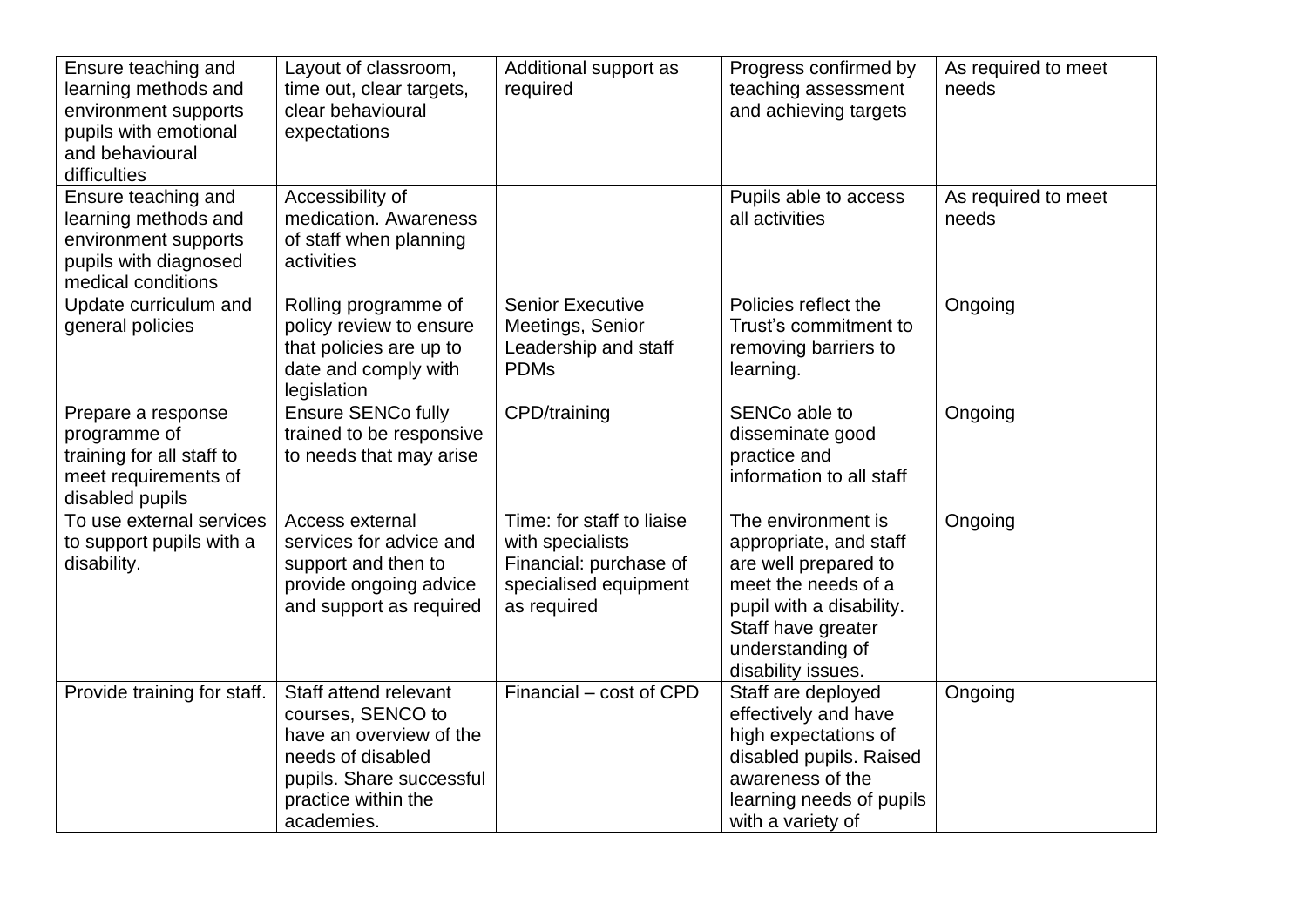| Ensure teaching and<br>learning methods and<br>environment supports<br>pupils with emotional<br>and behavioural<br>difficulties | Layout of classroom,<br>time out, clear targets,<br>clear behavioural<br>expectations                                                                       | Additional support as<br>required                                                                               | Progress confirmed by<br>teaching assessment<br>and achieving targets                                                                                                                   | As required to meet<br>needs |
|---------------------------------------------------------------------------------------------------------------------------------|-------------------------------------------------------------------------------------------------------------------------------------------------------------|-----------------------------------------------------------------------------------------------------------------|-----------------------------------------------------------------------------------------------------------------------------------------------------------------------------------------|------------------------------|
| Ensure teaching and<br>learning methods and<br>environment supports<br>pupils with diagnosed<br>medical conditions              | Accessibility of<br>medication. Awareness<br>of staff when planning<br>activities                                                                           |                                                                                                                 | Pupils able to access<br>all activities                                                                                                                                                 | As required to meet<br>needs |
| Update curriculum and<br>general policies                                                                                       | Rolling programme of<br>policy review to ensure<br>that policies are up to<br>date and comply with<br>legislation                                           | <b>Senior Executive</b><br>Meetings, Senior<br>Leadership and staff<br><b>PDMs</b>                              | Policies reflect the<br>Trust's commitment to<br>removing barriers to<br>learning.                                                                                                      | Ongoing                      |
| Prepare a response<br>programme of<br>training for all staff to<br>meet requirements of<br>disabled pupils                      | <b>Ensure SENCo fully</b><br>trained to be responsive<br>to needs that may arise                                                                            | CPD/training                                                                                                    | SENCo able to<br>disseminate good<br>practice and<br>information to all staff                                                                                                           | Ongoing                      |
| To use external services<br>to support pupils with a<br>disability.                                                             | Access external<br>services for advice and<br>support and then to<br>provide ongoing advice<br>and support as required                                      | Time: for staff to liaise<br>with specialists<br>Financial: purchase of<br>specialised equipment<br>as required | The environment is<br>appropriate, and staff<br>are well prepared to<br>meet the needs of a<br>pupil with a disability.<br>Staff have greater<br>understanding of<br>disability issues. | Ongoing                      |
| Provide training for staff.                                                                                                     | Staff attend relevant<br>courses, SENCO to<br>have an overview of the<br>needs of disabled<br>pupils. Share successful<br>practice within the<br>academies. | Financial - cost of CPD                                                                                         | Staff are deployed<br>effectively and have<br>high expectations of<br>disabled pupils. Raised<br>awareness of the<br>learning needs of pupils<br>with a variety of                      | Ongoing                      |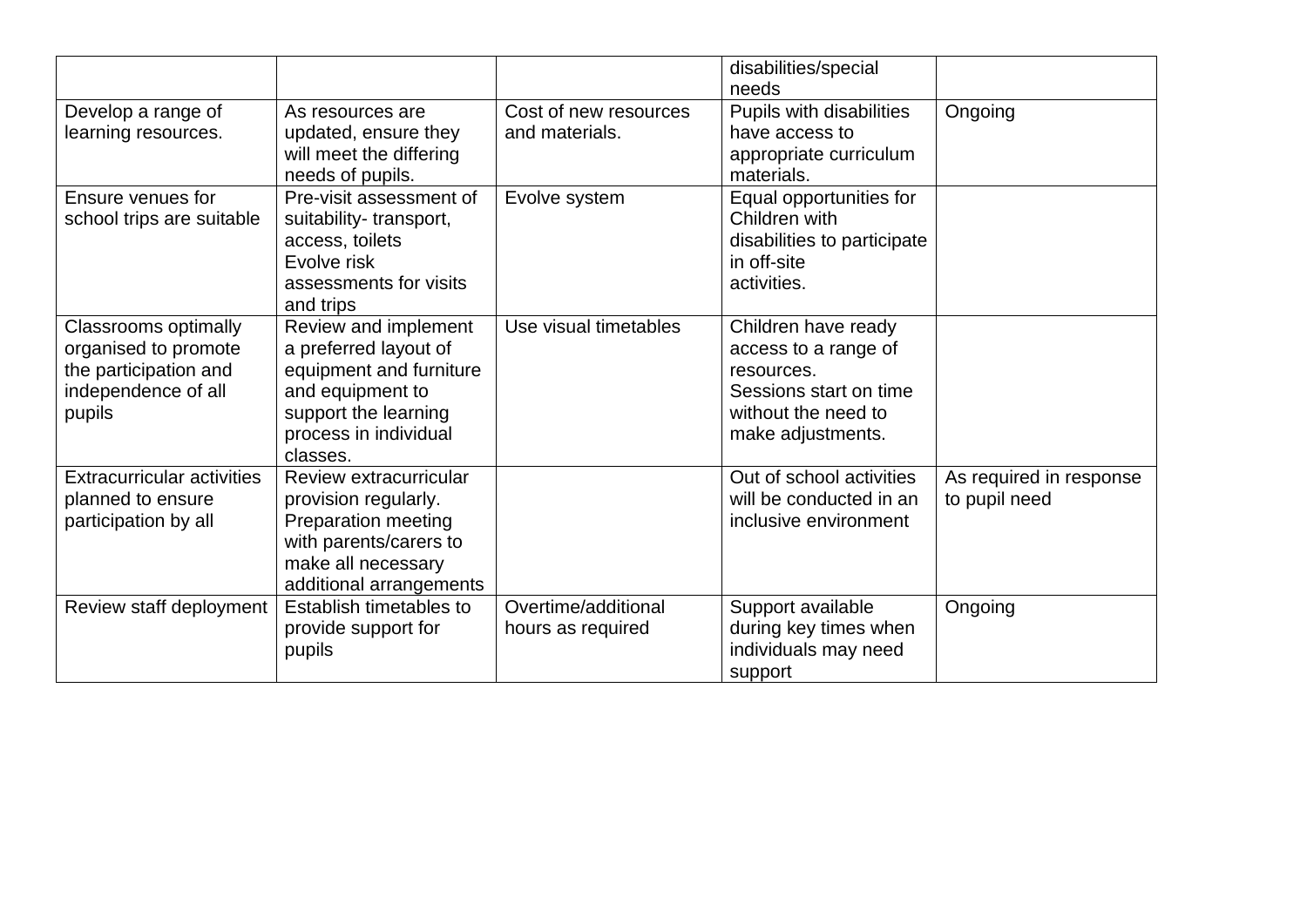|                                                                                                               |                                                                                                                                                           |                                          | disabilities/special<br>needs                                                                                                   |                                          |
|---------------------------------------------------------------------------------------------------------------|-----------------------------------------------------------------------------------------------------------------------------------------------------------|------------------------------------------|---------------------------------------------------------------------------------------------------------------------------------|------------------------------------------|
| Develop a range of<br>learning resources.                                                                     | As resources are<br>updated, ensure they<br>will meet the differing<br>needs of pupils.                                                                   | Cost of new resources<br>and materials.  | Pupils with disabilities<br>have access to<br>appropriate curriculum<br>materials.                                              | Ongoing                                  |
| Ensure venues for<br>school trips are suitable                                                                | Pre-visit assessment of<br>suitability-transport,<br>access, toilets<br>Evolve risk<br>assessments for visits<br>and trips                                | Evolve system                            | Equal opportunities for<br>Children with<br>disabilities to participate<br>in off-site<br>activities.                           |                                          |
| <b>Classrooms optimally</b><br>organised to promote<br>the participation and<br>independence of all<br>pupils | Review and implement<br>a preferred layout of<br>equipment and furniture<br>and equipment to<br>support the learning<br>process in individual<br>classes. | Use visual timetables                    | Children have ready<br>access to a range of<br>resources.<br>Sessions start on time<br>without the need to<br>make adjustments. |                                          |
| <b>Extracurricular activities</b><br>planned to ensure<br>participation by all                                | Review extracurricular<br>provision regularly.<br>Preparation meeting<br>with parents/carers to<br>make all necessary<br>additional arrangements          |                                          | Out of school activities<br>will be conducted in an<br>inclusive environment                                                    | As required in response<br>to pupil need |
| Review staff deployment                                                                                       | Establish timetables to<br>provide support for<br>pupils                                                                                                  | Overtime/additional<br>hours as required | Support available<br>during key times when<br>individuals may need<br>support                                                   | Ongoing                                  |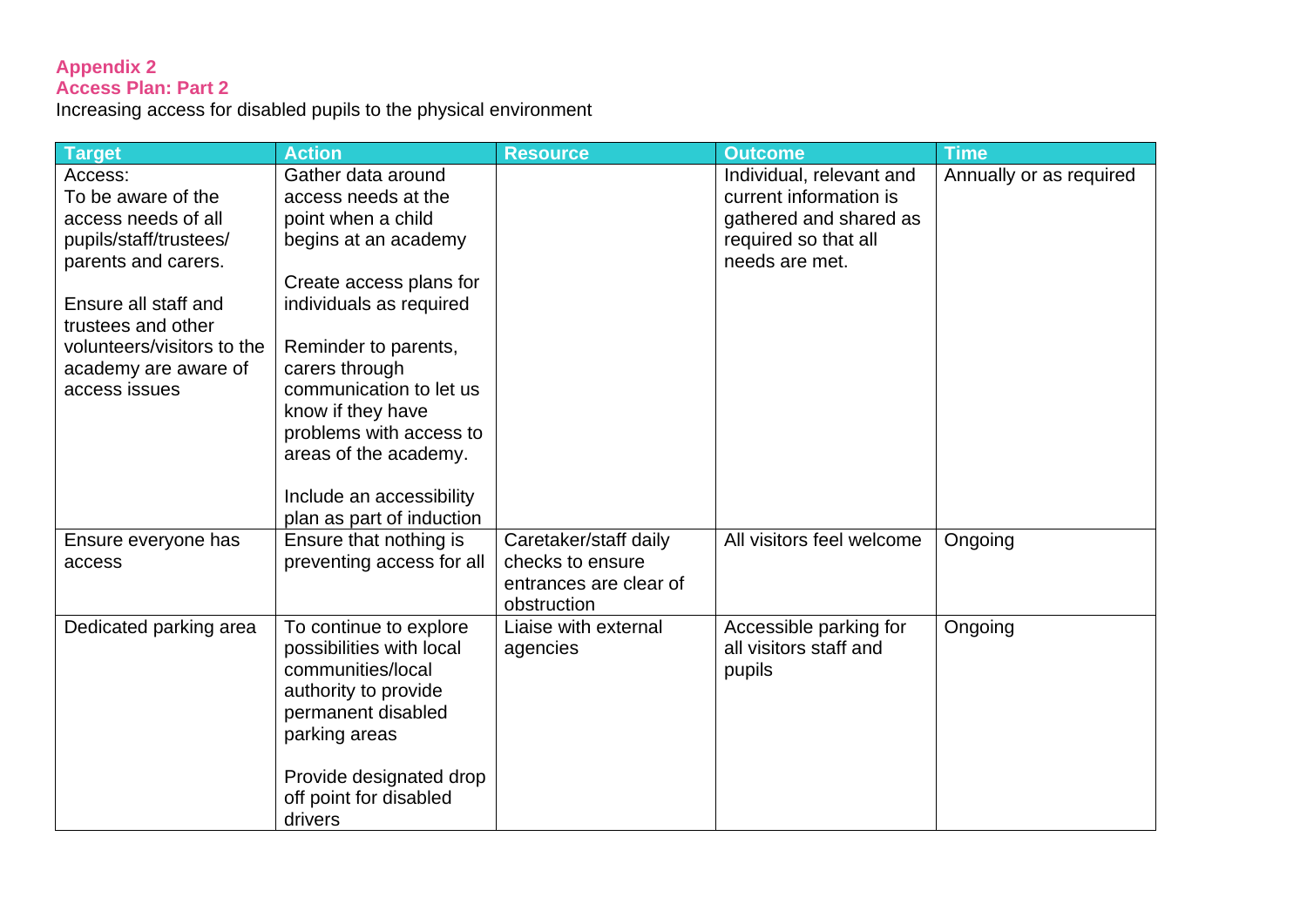#### **Appendix 2 Access Plan: Part 2**

Increasing access for disabled pupils to the physical environment

| <b>Target</b>                                                                                                                                                                                                              | <b>Action</b>                                                                                                                                                                                                                                                                                                           | <b>Resource</b>                                                                    | <b>Outcome</b>                                                                                                         | <b>Time</b>             |
|----------------------------------------------------------------------------------------------------------------------------------------------------------------------------------------------------------------------------|-------------------------------------------------------------------------------------------------------------------------------------------------------------------------------------------------------------------------------------------------------------------------------------------------------------------------|------------------------------------------------------------------------------------|------------------------------------------------------------------------------------------------------------------------|-------------------------|
| Access:<br>To be aware of the<br>access needs of all<br>pupils/staff/trustees/<br>parents and carers.<br>Ensure all staff and<br>trustees and other<br>volunteers/visitors to the<br>academy are aware of<br>access issues | Gather data around<br>access needs at the<br>point when a child<br>begins at an academy<br>Create access plans for<br>individuals as required<br>Reminder to parents,<br>carers through<br>communication to let us<br>know if they have<br>problems with access to<br>areas of the academy.<br>Include an accessibility |                                                                                    | Individual, relevant and<br>current information is<br>gathered and shared as<br>required so that all<br>needs are met. | Annually or as required |
|                                                                                                                                                                                                                            | plan as part of induction                                                                                                                                                                                                                                                                                               |                                                                                    |                                                                                                                        |                         |
| Ensure everyone has<br>access                                                                                                                                                                                              | Ensure that nothing is<br>preventing access for all                                                                                                                                                                                                                                                                     | Caretaker/staff daily<br>checks to ensure<br>entrances are clear of<br>obstruction | All visitors feel welcome                                                                                              | Ongoing                 |
| Dedicated parking area                                                                                                                                                                                                     | To continue to explore<br>possibilities with local<br>communities/local<br>authority to provide<br>permanent disabled<br>parking areas<br>Provide designated drop<br>off point for disabled<br>drivers                                                                                                                  | Liaise with external<br>agencies                                                   | Accessible parking for<br>all visitors staff and<br>pupils                                                             | Ongoing                 |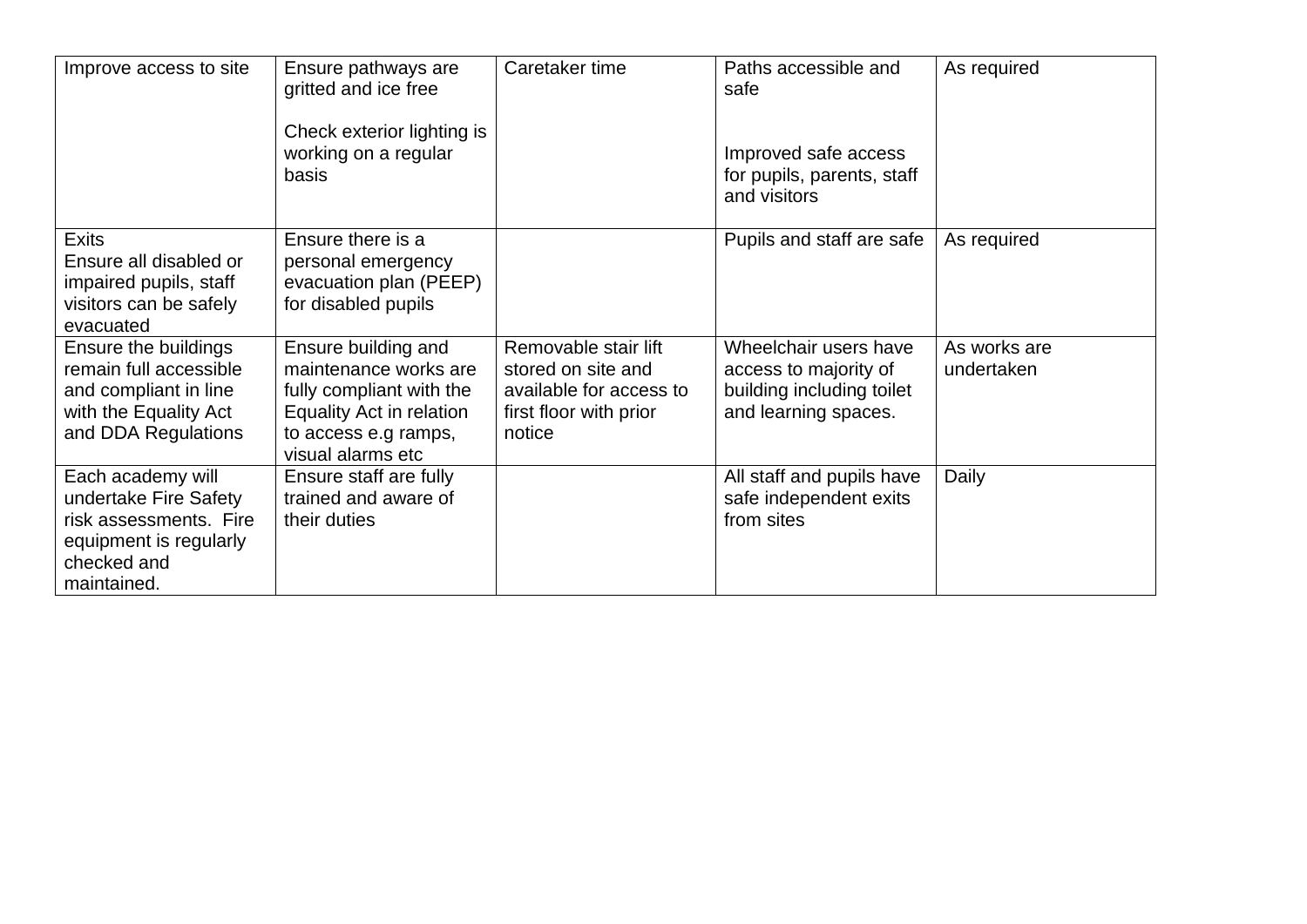| Improve access to site                                                                                                       | Ensure pathways are<br>gritted and ice free<br>Check exterior lighting is<br>working on a regular<br>basis                                        | Caretaker time                                                                                            | Paths accessible and<br>safe<br>Improved safe access<br>for pupils, parents, staff<br>and visitors  | As required                |
|------------------------------------------------------------------------------------------------------------------------------|---------------------------------------------------------------------------------------------------------------------------------------------------|-----------------------------------------------------------------------------------------------------------|-----------------------------------------------------------------------------------------------------|----------------------------|
| <b>Exits</b><br>Ensure all disabled or<br>impaired pupils, staff<br>visitors can be safely<br>evacuated                      | Ensure there is a<br>personal emergency<br>evacuation plan (PEEP)<br>for disabled pupils                                                          |                                                                                                           | Pupils and staff are safe                                                                           | As required                |
| Ensure the buildings<br>remain full accessible<br>and compliant in line<br>with the Equality Act<br>and DDA Regulations      | Ensure building and<br>maintenance works are<br>fully compliant with the<br>Equality Act in relation<br>to access e.g ramps,<br>visual alarms etc | Removable stair lift<br>stored on site and<br>available for access to<br>first floor with prior<br>notice | Wheelchair users have<br>access to majority of<br>building including toilet<br>and learning spaces. | As works are<br>undertaken |
| Each academy will<br>undertake Fire Safety<br>risk assessments. Fire<br>equipment is regularly<br>checked and<br>maintained. | Ensure staff are fully<br>trained and aware of<br>their duties                                                                                    |                                                                                                           | All staff and pupils have<br>safe independent exits<br>from sites                                   | Daily                      |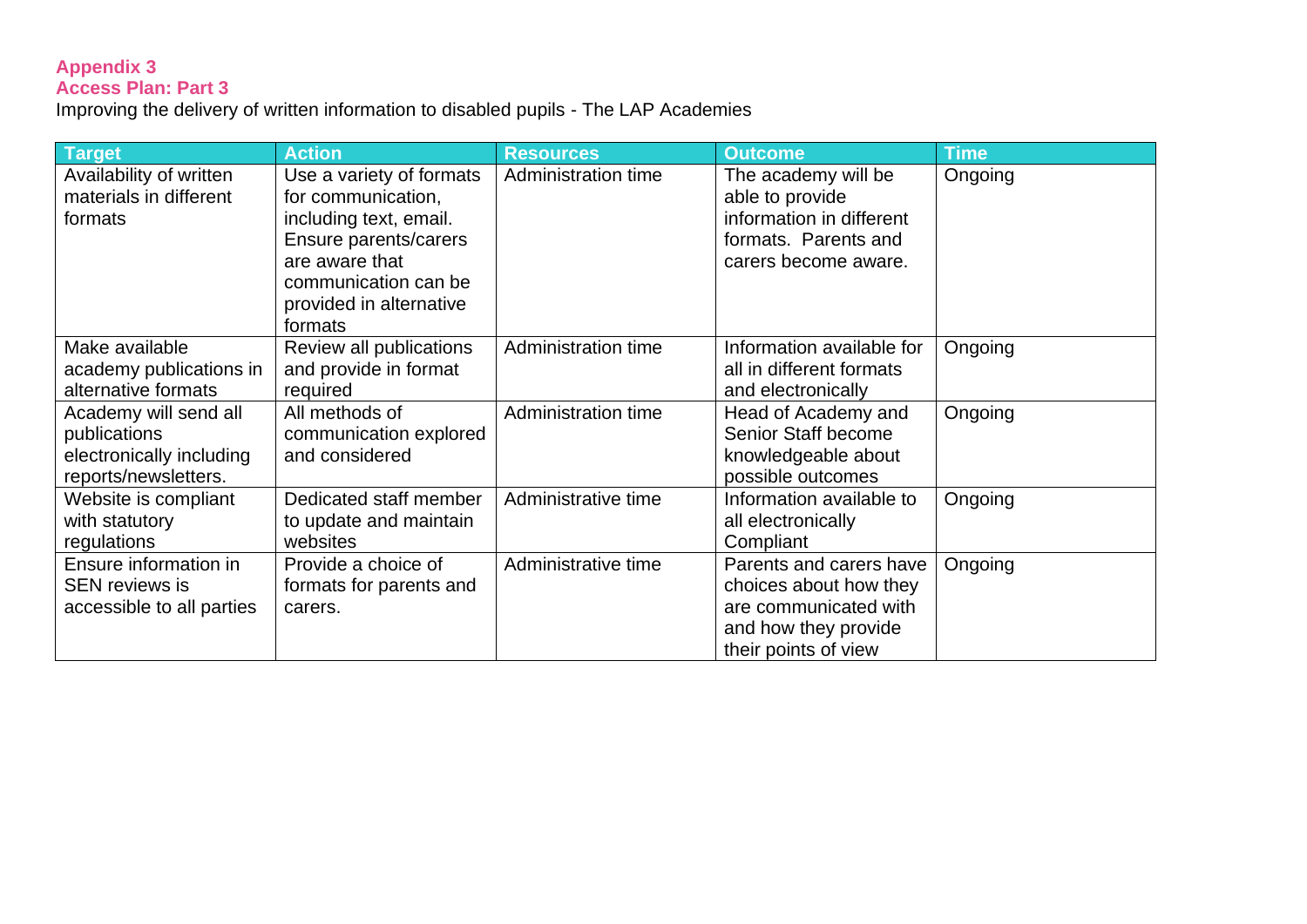#### **Appendix 3 Access Plan: Part 3**

Improving the delivery of written information to disabled pupils - The LAP Academies

| <b>Target</b>             | <b>Action</b>            | <b>Resources</b>    | <b>Outcome</b>            | <b>Time</b> |
|---------------------------|--------------------------|---------------------|---------------------------|-------------|
| Availability of written   | Use a variety of formats | Administration time | The academy will be       | Ongoing     |
| materials in different    | for communication,       |                     | able to provide           |             |
| formats                   | including text, email.   |                     | information in different  |             |
|                           | Ensure parents/carers    |                     | formats. Parents and      |             |
|                           | are aware that           |                     | carers become aware.      |             |
|                           | communication can be     |                     |                           |             |
|                           | provided in alternative  |                     |                           |             |
|                           | formats                  |                     |                           |             |
| Make available            | Review all publications  | Administration time | Information available for | Ongoing     |
| academy publications in   | and provide in format    |                     | all in different formats  |             |
| alternative formats       | required                 |                     | and electronically        |             |
| Academy will send all     | All methods of           | Administration time | Head of Academy and       | Ongoing     |
| publications              | communication explored   |                     | Senior Staff become       |             |
| electronically including  | and considered           |                     | knowledgeable about       |             |
| reports/newsletters.      |                          |                     | possible outcomes         |             |
| Website is compliant      | Dedicated staff member   | Administrative time | Information available to  | Ongoing     |
| with statutory            | to update and maintain   |                     | all electronically        |             |
| regulations               | websites                 |                     | Compliant                 |             |
| Ensure information in     | Provide a choice of      | Administrative time | Parents and carers have   | Ongoing     |
| <b>SEN reviews is</b>     | formats for parents and  |                     | choices about how they    |             |
| accessible to all parties | carers.                  |                     | are communicated with     |             |
|                           |                          |                     | and how they provide      |             |
|                           |                          |                     | their points of view      |             |